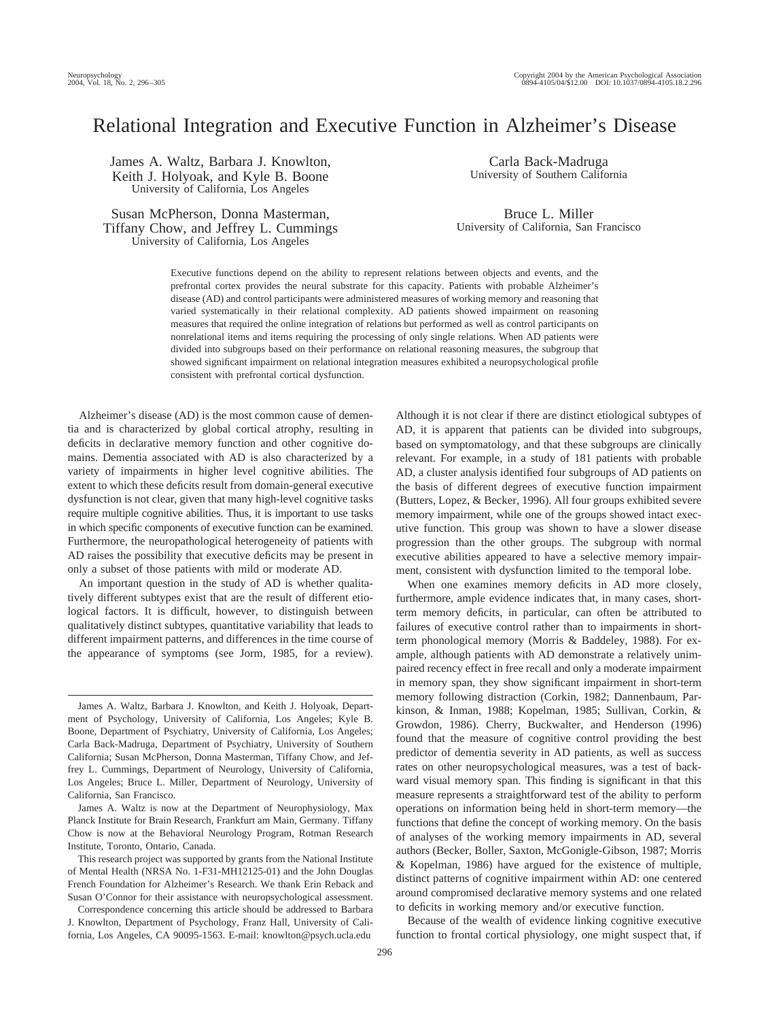# Relational Integration and Executive Function in Alzheimer's Disease

James A. Waltz, Barbara J. Knowlton, Keith J. Holyoak, and Kyle B. Boone University of California, Los Angeles

Susan McPherson, Donna Masterman, Tiffany Chow, and Jeffrey L. Cummings University of California, Los Angeles

Carla Back-Madruga University of Southern California

Bruce L. Miller University of California, San Francisco

Executive functions depend on the ability to represent relations between objects and events, and the prefrontal cortex provides the neural substrate for this capacity. Patients with probable Alzheimer's disease (AD) and control participants were administered measures of working memory and reasoning that varied systematically in their relational complexity. AD patients showed impairment on reasoning measures that required the online integration of relations but performed as well as control participants on nonrelational items and items requiring the processing of only single relations. When AD patients were divided into subgroups based on their performance on relational reasoning measures, the subgroup that showed significant impairment on relational integration measures exhibited a neuropsychological profile consistent with prefrontal cortical dysfunction.

Alzheimer's disease (AD) is the most common cause of dementia and is characterized by global cortical atrophy, resulting in deficits in declarative memory function and other cognitive domains. Dementia associated with AD is also characterized by a variety of impairments in higher level cognitive abilities. The extent to which these deficits result from domain-general executive dysfunction is not clear, given that many high-level cognitive tasks require multiple cognitive abilities. Thus, it is important to use tasks in which specific components of executive function can be examined. Furthermore, the neuropathological heterogeneity of patients with AD raises the possibility that executive deficits may be present in only a subset of those patients with mild or moderate AD.

An important question in the study of AD is whether qualitatively different subtypes exist that are the result of different etiological factors. It is difficult, however, to distinguish between qualitatively distinct subtypes, quantitative variability that leads to different impairment patterns, and differences in the time course of the appearance of symptoms (see Jorm, 1985, for a review).

James A. Waltz, Barbara J. Knowlton, and Keith J. Holyoak, Department of Psychology, University of California, Los Angeles; Kyle B. Boone, Department of Psychiatry, University of California, Los Angeles; Carla Back-Madruga, Department of Psychiatry, University of Southern California; Susan McPherson, Donna Masterman, Tiffany Chow, and Jeffrey L. Cummings, Department of Neurology, University of California, Los Angeles; Bruce L. Miller, Department of Neurology, University of California, San Francisco.

James A. Waltz is now at the Department of Neurophysiology, Max Planck Institute for Brain Research, Frankfurt am Main, Germany. Tiffany Chow is now at the Behavioral Neurology Program, Rotman Research Institute, Toronto, Ontario, Canada.

This research project was supported by grants from the National Institute of Mental Health (NRSA No. 1-F31-MH12125-01) and the John Douglas French Foundation for Alzheimer's Research. We thank Erin Reback and Susan O'Connor for their assistance with neuropsychological assessment.

Correspondence concerning this article should be addressed to Barbara J. Knowlton, Department of Psychology, Franz Hall, University of California, Los Angeles, CA 90095-1563. E-mail: knowlton@psych.ucla.edu

Although it is not clear if there are distinct etiological subtypes of AD, it is apparent that patients can be divided into subgroups, based on symptomatology, and that these subgroups are clinically relevant. For example, in a study of 181 patients with probable AD, a cluster analysis identified four subgroups of AD patients on the basis of different degrees of executive function impairment (Butters, Lopez, & Becker, 1996). All four groups exhibited severe memory impairment, while one of the groups showed intact executive function. This group was shown to have a slower disease progression than the other groups. The subgroup with normal executive abilities appeared to have a selective memory impairment, consistent with dysfunction limited to the temporal lobe.

When one examines memory deficits in AD more closely, furthermore, ample evidence indicates that, in many cases, shortterm memory deficits, in particular, can often be attributed to failures of executive control rather than to impairments in shortterm phonological memory (Morris & Baddeley, 1988). For example, although patients with AD demonstrate a relatively unimpaired recency effect in free recall and only a moderate impairment in memory span, they show significant impairment in short-term memory following distraction (Corkin, 1982; Dannenbaum, Parkinson, & Inman, 1988; Kopelman, 1985; Sullivan, Corkin, & Growdon, 1986). Cherry, Buckwalter, and Henderson (1996) found that the measure of cognitive control providing the best predictor of dementia severity in AD patients, as well as success rates on other neuropsychological measures, was a test of backward visual memory span. This finding is significant in that this measure represents a straightforward test of the ability to perform operations on information being held in short-term memory—the functions that define the concept of working memory. On the basis of analyses of the working memory impairments in AD, several authors (Becker, Boller, Saxton, McGonigle-Gibson, 1987; Morris & Kopelman, 1986) have argued for the existence of multiple, distinct patterns of cognitive impairment within AD: one centered around compromised declarative memory systems and one related to deficits in working memory and/or executive function.

Because of the wealth of evidence linking cognitive executive function to frontal cortical physiology, one might suspect that, if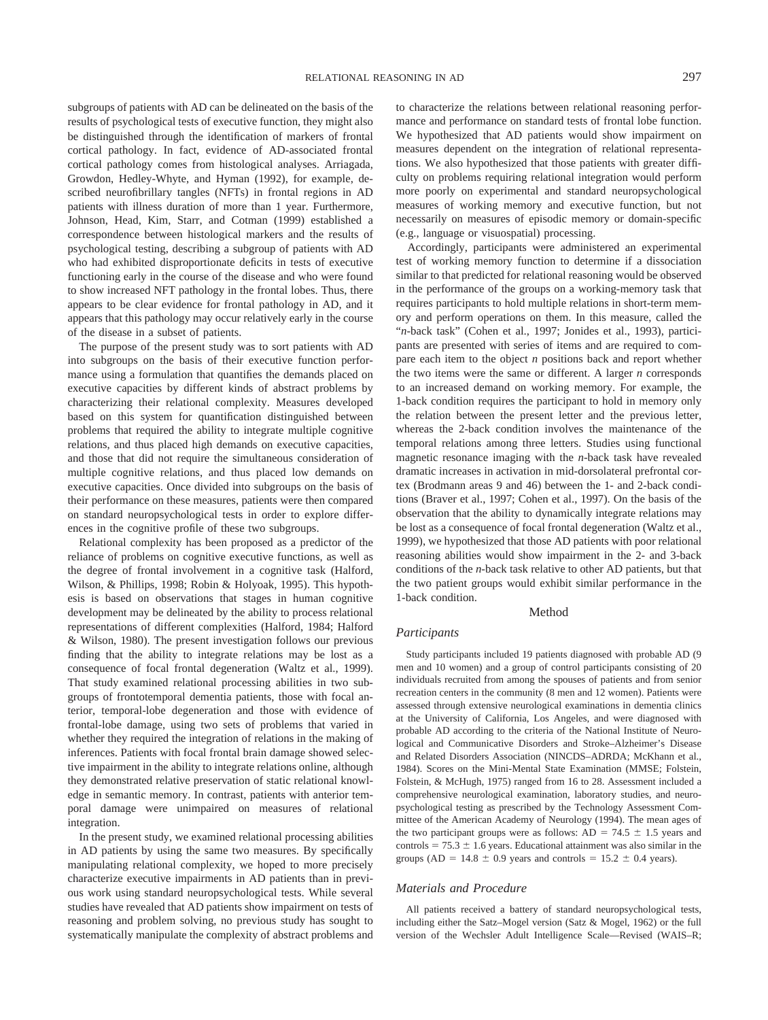subgroups of patients with AD can be delineated on the basis of the results of psychological tests of executive function, they might also be distinguished through the identification of markers of frontal cortical pathology. In fact, evidence of AD-associated frontal cortical pathology comes from histological analyses. Arriagada, Growdon, Hedley-Whyte, and Hyman (1992), for example, described neurofibrillary tangles (NFTs) in frontal regions in AD patients with illness duration of more than 1 year. Furthermore, Johnson, Head, Kim, Starr, and Cotman (1999) established a correspondence between histological markers and the results of psychological testing, describing a subgroup of patients with AD who had exhibited disproportionate deficits in tests of executive functioning early in the course of the disease and who were found to show increased NFT pathology in the frontal lobes. Thus, there appears to be clear evidence for frontal pathology in AD, and it appears that this pathology may occur relatively early in the course of the disease in a subset of patients.

The purpose of the present study was to sort patients with AD into subgroups on the basis of their executive function performance using a formulation that quantifies the demands placed on executive capacities by different kinds of abstract problems by characterizing their relational complexity. Measures developed based on this system for quantification distinguished between problems that required the ability to integrate multiple cognitive relations, and thus placed high demands on executive capacities, and those that did not require the simultaneous consideration of multiple cognitive relations, and thus placed low demands on executive capacities. Once divided into subgroups on the basis of their performance on these measures, patients were then compared on standard neuropsychological tests in order to explore differences in the cognitive profile of these two subgroups.

Relational complexity has been proposed as a predictor of the reliance of problems on cognitive executive functions, as well as the degree of frontal involvement in a cognitive task (Halford, Wilson, & Phillips, 1998; Robin & Holyoak, 1995). This hypothesis is based on observations that stages in human cognitive development may be delineated by the ability to process relational representations of different complexities (Halford, 1984; Halford & Wilson, 1980). The present investigation follows our previous finding that the ability to integrate relations may be lost as a consequence of focal frontal degeneration (Waltz et al., 1999). That study examined relational processing abilities in two subgroups of frontotemporal dementia patients, those with focal anterior, temporal-lobe degeneration and those with evidence of frontal-lobe damage, using two sets of problems that varied in whether they required the integration of relations in the making of inferences. Patients with focal frontal brain damage showed selective impairment in the ability to integrate relations online, although they demonstrated relative preservation of static relational knowledge in semantic memory. In contrast, patients with anterior temporal damage were unimpaired on measures of relational integration.

In the present study, we examined relational processing abilities in AD patients by using the same two measures. By specifically manipulating relational complexity, we hoped to more precisely characterize executive impairments in AD patients than in previous work using standard neuropsychological tests. While several studies have revealed that AD patients show impairment on tests of reasoning and problem solving, no previous study has sought to systematically manipulate the complexity of abstract problems and to characterize the relations between relational reasoning performance and performance on standard tests of frontal lobe function. We hypothesized that AD patients would show impairment on measures dependent on the integration of relational representations. We also hypothesized that those patients with greater difficulty on problems requiring relational integration would perform more poorly on experimental and standard neuropsychological measures of working memory and executive function, but not necessarily on measures of episodic memory or domain-specific (e.g., language or visuospatial) processing.

Accordingly, participants were administered an experimental test of working memory function to determine if a dissociation similar to that predicted for relational reasoning would be observed in the performance of the groups on a working-memory task that requires participants to hold multiple relations in short-term memory and perform operations on them. In this measure, called the "*n*-back task" (Cohen et al., 1997; Jonides et al., 1993), participants are presented with series of items and are required to compare each item to the object *n* positions back and report whether the two items were the same or different. A larger *n* corresponds to an increased demand on working memory. For example, the 1-back condition requires the participant to hold in memory only the relation between the present letter and the previous letter, whereas the 2-back condition involves the maintenance of the temporal relations among three letters. Studies using functional magnetic resonance imaging with the *n*-back task have revealed dramatic increases in activation in mid-dorsolateral prefrontal cortex (Brodmann areas 9 and 46) between the 1- and 2-back conditions (Braver et al., 1997; Cohen et al., 1997). On the basis of the observation that the ability to dynamically integrate relations may be lost as a consequence of focal frontal degeneration (Waltz et al., 1999), we hypothesized that those AD patients with poor relational reasoning abilities would show impairment in the 2- and 3-back conditions of the *n*-back task relative to other AD patients, but that the two patient groups would exhibit similar performance in the 1-back condition.

## Method

## *Participants*

Study participants included 19 patients diagnosed with probable AD (9 men and 10 women) and a group of control participants consisting of 20 individuals recruited from among the spouses of patients and from senior recreation centers in the community (8 men and 12 women). Patients were assessed through extensive neurological examinations in dementia clinics at the University of California, Los Angeles, and were diagnosed with probable AD according to the criteria of the National Institute of Neurological and Communicative Disorders and Stroke–Alzheimer's Disease and Related Disorders Association (NINCDS–ADRDA; McKhann et al., 1984). Scores on the Mini-Mental State Examination (MMSE; Folstein, Folstein, & McHugh, 1975) ranged from 16 to 28. Assessment included a comprehensive neurological examination, laboratory studies, and neuropsychological testing as prescribed by the Technology Assessment Committee of the American Academy of Neurology (1994). The mean ages of the two participant groups were as follows:  $AD = 74.5 \pm 1.5$  years and controls  $= 75.3 \pm 1.6$  years. Educational attainment was also similar in the groups (AD =  $14.8 \pm 0.9$  years and controls =  $15.2 \pm 0.4$  years).

### *Materials and Procedure*

All patients received a battery of standard neuropsychological tests, including either the Satz–Mogel version (Satz & Mogel, 1962) or the full version of the Wechsler Adult Intelligence Scale—Revised (WAIS–R;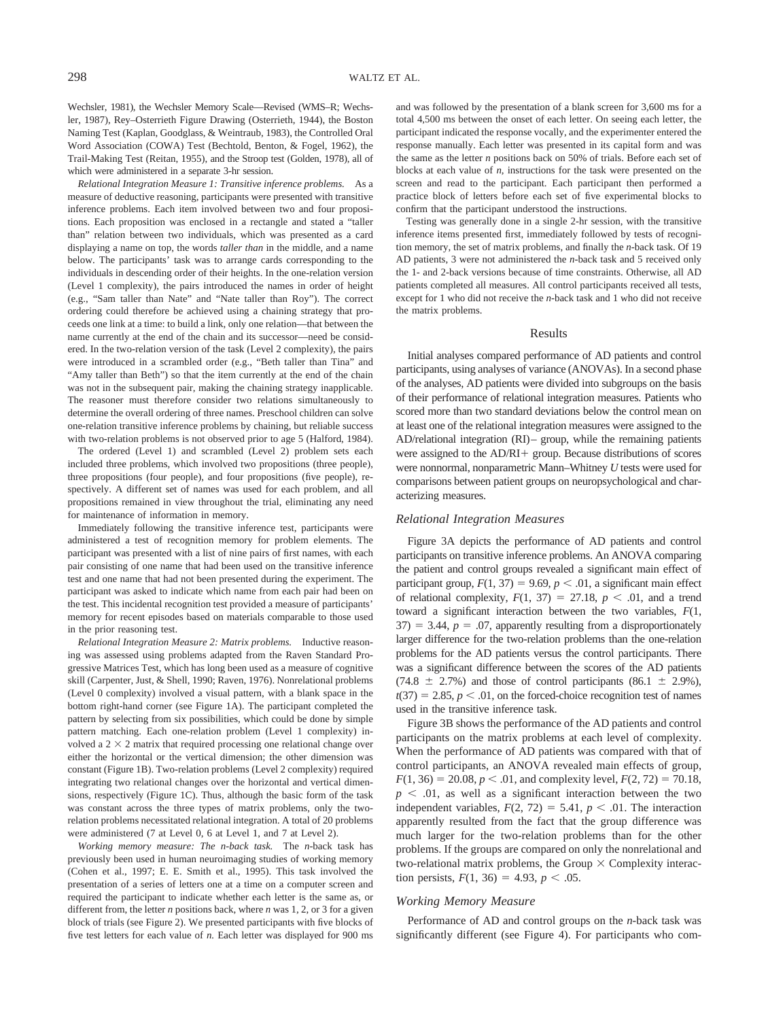Wechsler, 1981), the Wechsler Memory Scale—Revised (WMS–R; Wechsler, 1987), Rey–Osterrieth Figure Drawing (Osterrieth, 1944), the Boston Naming Test (Kaplan, Goodglass, & Weintraub, 1983), the Controlled Oral Word Association (COWA) Test (Bechtold, Benton, & Fogel, 1962), the Trail-Making Test (Reitan, 1955), and the Stroop test (Golden, 1978), all of which were administered in a separate 3-hr session.

*Relational Integration Measure 1: Transitive inference problems.* As a measure of deductive reasoning, participants were presented with transitive inference problems. Each item involved between two and four propositions. Each proposition was enclosed in a rectangle and stated a "taller than" relation between two individuals, which was presented as a card displaying a name on top, the words *taller than* in the middle, and a name below. The participants' task was to arrange cards corresponding to the individuals in descending order of their heights. In the one-relation version (Level 1 complexity), the pairs introduced the names in order of height (e.g., "Sam taller than Nate" and "Nate taller than Roy"). The correct ordering could therefore be achieved using a chaining strategy that proceeds one link at a time: to build a link, only one relation—that between the name currently at the end of the chain and its successor—need be considered. In the two-relation version of the task (Level 2 complexity), the pairs were introduced in a scrambled order (e.g., "Beth taller than Tina" and "Amy taller than Beth") so that the item currently at the end of the chain was not in the subsequent pair, making the chaining strategy inapplicable. The reasoner must therefore consider two relations simultaneously to determine the overall ordering of three names. Preschool children can solve one-relation transitive inference problems by chaining, but reliable success with two-relation problems is not observed prior to age 5 (Halford, 1984).

The ordered (Level 1) and scrambled (Level 2) problem sets each included three problems, which involved two propositions (three people), three propositions (four people), and four propositions (five people), respectively. A different set of names was used for each problem, and all propositions remained in view throughout the trial, eliminating any need for maintenance of information in memory.

Immediately following the transitive inference test, participants were administered a test of recognition memory for problem elements. The participant was presented with a list of nine pairs of first names, with each pair consisting of one name that had been used on the transitive inference test and one name that had not been presented during the experiment. The participant was asked to indicate which name from each pair had been on the test. This incidental recognition test provided a measure of participants' memory for recent episodes based on materials comparable to those used in the prior reasoning test.

*Relational Integration Measure 2: Matrix problems.* Inductive reasoning was assessed using problems adapted from the Raven Standard Progressive Matrices Test, which has long been used as a measure of cognitive skill (Carpenter, Just, & Shell, 1990; Raven, 1976). Nonrelational problems (Level 0 complexity) involved a visual pattern, with a blank space in the bottom right-hand corner (see Figure 1A). The participant completed the pattern by selecting from six possibilities, which could be done by simple pattern matching. Each one-relation problem (Level 1 complexity) involved a  $2 \times 2$  matrix that required processing one relational change over either the horizontal or the vertical dimension; the other dimension was constant (Figure 1B). Two-relation problems (Level 2 complexity) required integrating two relational changes over the horizontal and vertical dimensions, respectively (Figure 1C). Thus, although the basic form of the task was constant across the three types of matrix problems, only the tworelation problems necessitated relational integration. A total of 20 problems were administered (7 at Level 0, 6 at Level 1, and 7 at Level 2).

*Working memory measure: The n-back task.* The *n*-back task has previously been used in human neuroimaging studies of working memory (Cohen et al., 1997; E. E. Smith et al., 1995). This task involved the presentation of a series of letters one at a time on a computer screen and required the participant to indicate whether each letter is the same as, or different from, the letter *n* positions back, where *n* was 1, 2, or 3 for a given block of trials (see Figure 2). We presented participants with five blocks of five test letters for each value of *n.* Each letter was displayed for 900 ms

and was followed by the presentation of a blank screen for 3,600 ms for a total 4,500 ms between the onset of each letter. On seeing each letter, the participant indicated the response vocally, and the experimenter entered the response manually. Each letter was presented in its capital form and was the same as the letter *n* positions back on 50% of trials. Before each set of blocks at each value of *n,* instructions for the task were presented on the screen and read to the participant. Each participant then performed a practice block of letters before each set of five experimental blocks to confirm that the participant understood the instructions.

Testing was generally done in a single 2-hr session, with the transitive inference items presented first, immediately followed by tests of recognition memory, the set of matrix problems, and finally the *n*-back task. Of 19 AD patients, 3 were not administered the *n*-back task and 5 received only the 1- and 2-back versions because of time constraints. Otherwise, all AD patients completed all measures. All control participants received all tests, except for 1 who did not receive the *n*-back task and 1 who did not receive the matrix problems.

#### Results

Initial analyses compared performance of AD patients and control participants, using analyses of variance (ANOVAs). In a second phase of the analyses, AD patients were divided into subgroups on the basis of their performance of relational integration measures. Patients who scored more than two standard deviations below the control mean on at least one of the relational integration measures were assigned to the AD/relational integration (RI)– group, while the remaining patients were assigned to the  $AD/RI +$  group. Because distributions of scores were nonnormal, nonparametric Mann–Whitney *U* tests were used for comparisons between patient groups on neuropsychological and characterizing measures.

#### *Relational Integration Measures*

Figure 3A depicts the performance of AD patients and control participants on transitive inference problems. An ANOVA comparing the patient and control groups revealed a significant main effect of participant group,  $F(1, 37) = 9.69$ ,  $p < .01$ , a significant main effect of relational complexity,  $F(1, 37) = 27.18$ ,  $p < .01$ , and a trend toward a significant interaction between the two variables, *F*(1,  $37) = 3.44$ ,  $p = .07$ , apparently resulting from a disproportionately larger difference for the two-relation problems than the one-relation problems for the AD patients versus the control participants. There was a significant difference between the scores of the AD patients  $(74.8 \pm 2.7\%)$  and those of control participants  $(86.1 \pm 2.9\%)$ ,  $t(37) = 2.85, p < .01$ , on the forced-choice recognition test of names used in the transitive inference task.

Figure 3B shows the performance of the AD patients and control participants on the matrix problems at each level of complexity. When the performance of AD patients was compared with that of control participants, an ANOVA revealed main effects of group,  $F(1, 36) = 20.08$ ,  $p < .01$ , and complexity level,  $F(2, 72) = 70.18$ ,  $p \leq 0.01$ , as well as a significant interaction between the two independent variables,  $F(2, 72) = 5.41$ ,  $p < .01$ . The interaction apparently resulted from the fact that the group difference was much larger for the two-relation problems than for the other problems. If the groups are compared on only the nonrelational and two-relational matrix problems, the Group  $\times$  Complexity interaction persists,  $F(1, 36) = 4.93$ ,  $p < .05$ .

#### *Working Memory Measure*

Performance of AD and control groups on the *n*-back task was significantly different (see Figure 4). For participants who com-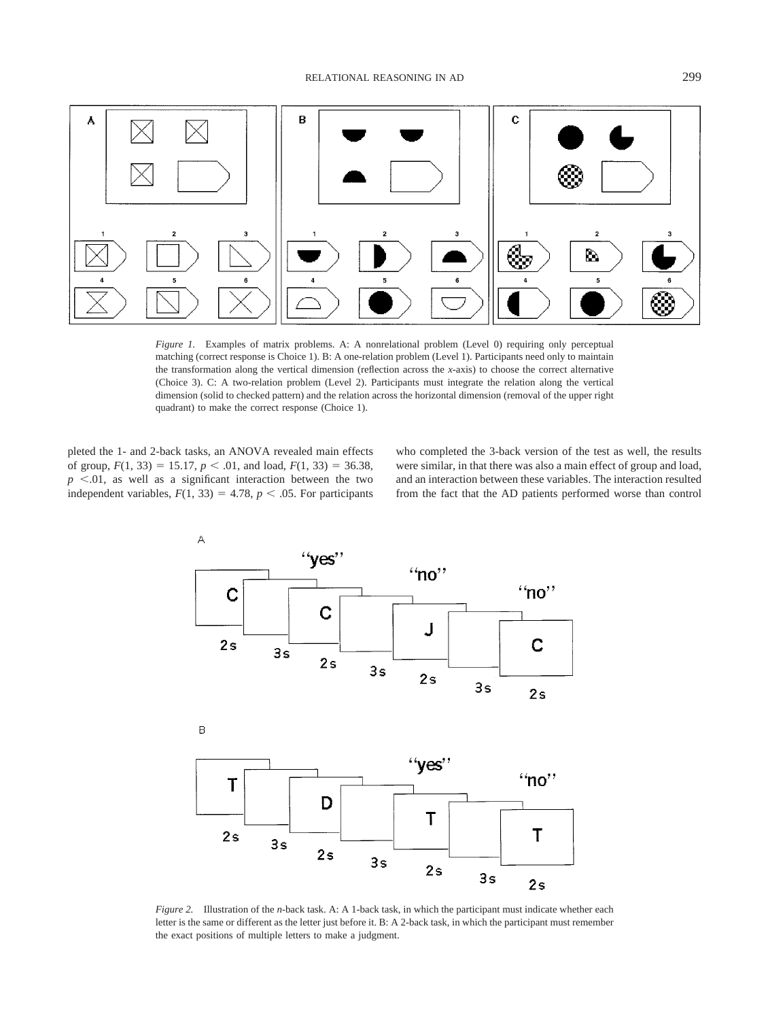

*Figure 1.* Examples of matrix problems. A: A nonrelational problem (Level 0) requiring only perceptual matching (correct response is Choice 1). B: A one-relation problem (Level 1). Participants need only to maintain the transformation along the vertical dimension (reflection across the *x*-axis) to choose the correct alternative (Choice 3). C: A two-relation problem (Level 2). Participants must integrate the relation along the vertical dimension (solid to checked pattern) and the relation across the horizontal dimension (removal of the upper right quadrant) to make the correct response (Choice 1).

pleted the 1- and 2-back tasks, an ANOVA revealed main effects of group,  $F(1, 33) = 15.17$ ,  $p < .01$ , and load,  $F(1, 33) = 36.38$ ,  $p \leq 0.01$ , as well as a significant interaction between the two independent variables,  $F(1, 33) = 4.78$ ,  $p < .05$ . For participants who completed the 3-back version of the test as well, the results were similar, in that there was also a main effect of group and load, and an interaction between these variables. The interaction resulted from the fact that the AD patients performed worse than control



*Figure 2.* Illustration of the *n*-back task. A: A 1-back task, in which the participant must indicate whether each letter is the same or different as the letter just before it. B: A 2-back task, in which the participant must remember the exact positions of multiple letters to make a judgment.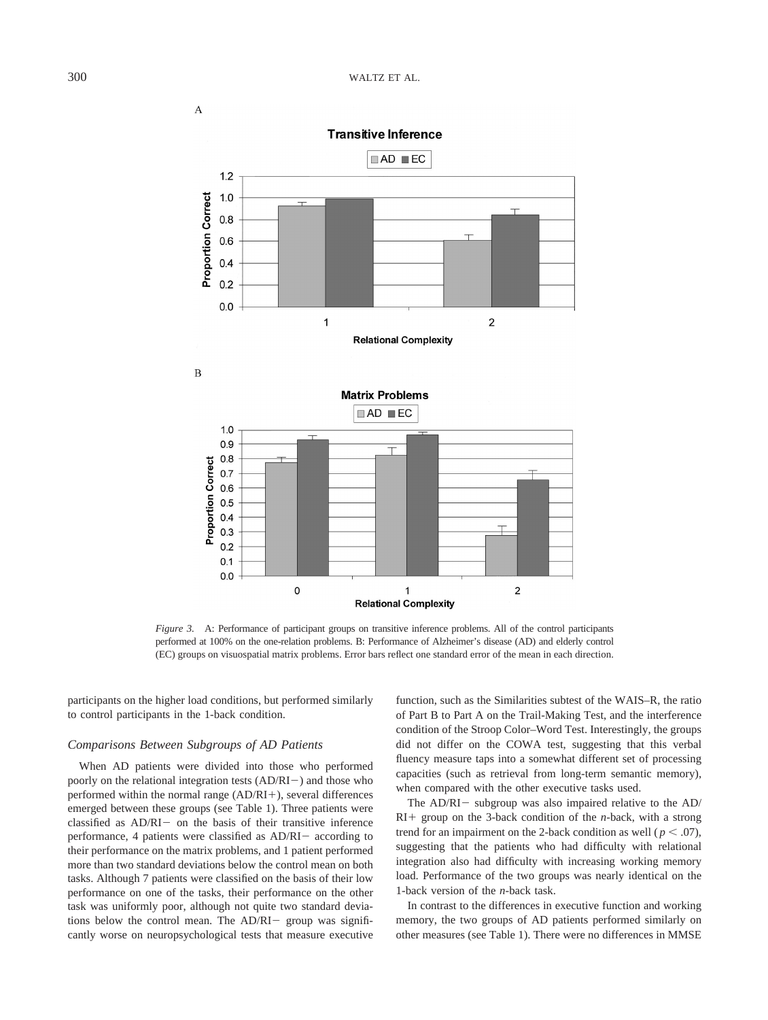**Transitive Inference** 



*Figure 3.* A: Performance of participant groups on transitive inference problems. All of the control participants performed at 100% on the one-relation problems. B: Performance of Alzheimer's disease (AD) and elderly control (EC) groups on visuospatial matrix problems. Error bars reflect one standard error of the mean in each direction.

participants on the higher load conditions, but performed similarly to control participants in the 1-back condition.

## *Comparisons Between Subgroups of AD Patients*

When AD patients were divided into those who performed poorly on the relational integration tests  $(AD/RI-)$  and those who performed within the normal range  $(AD/RI+)$ , several differences emerged between these groups (see Table 1). Three patients were classified as  $AD/RI-$  on the basis of their transitive inference performance, 4 patients were classified as  $AD/RI-$  according to their performance on the matrix problems, and 1 patient performed more than two standard deviations below the control mean on both tasks. Although 7 patients were classified on the basis of their low performance on one of the tasks, their performance on the other task was uniformly poor, although not quite two standard deviations below the control mean. The  $AD/RI-$  group was significantly worse on neuropsychological tests that measure executive function, such as the Similarities subtest of the WAIS–R, the ratio of Part B to Part A on the Trail-Making Test, and the interference condition of the Stroop Color–Word Test. Interestingly, the groups did not differ on the COWA test, suggesting that this verbal fluency measure taps into a somewhat different set of processing capacities (such as retrieval from long-term semantic memory), when compared with the other executive tasks used.

The  $AD/RI -$  subgroup was also impaired relative to the  $AD/$  $RI+$  group on the 3-back condition of the *n*-back, with a strong trend for an impairment on the 2-back condition as well ( $p < .07$ ), suggesting that the patients who had difficulty with relational integration also had difficulty with increasing working memory load. Performance of the two groups was nearly identical on the 1-back version of the *n*-back task.

In contrast to the differences in executive function and working memory, the two groups of AD patients performed similarly on other measures (see Table 1). There were no differences in MMSE

A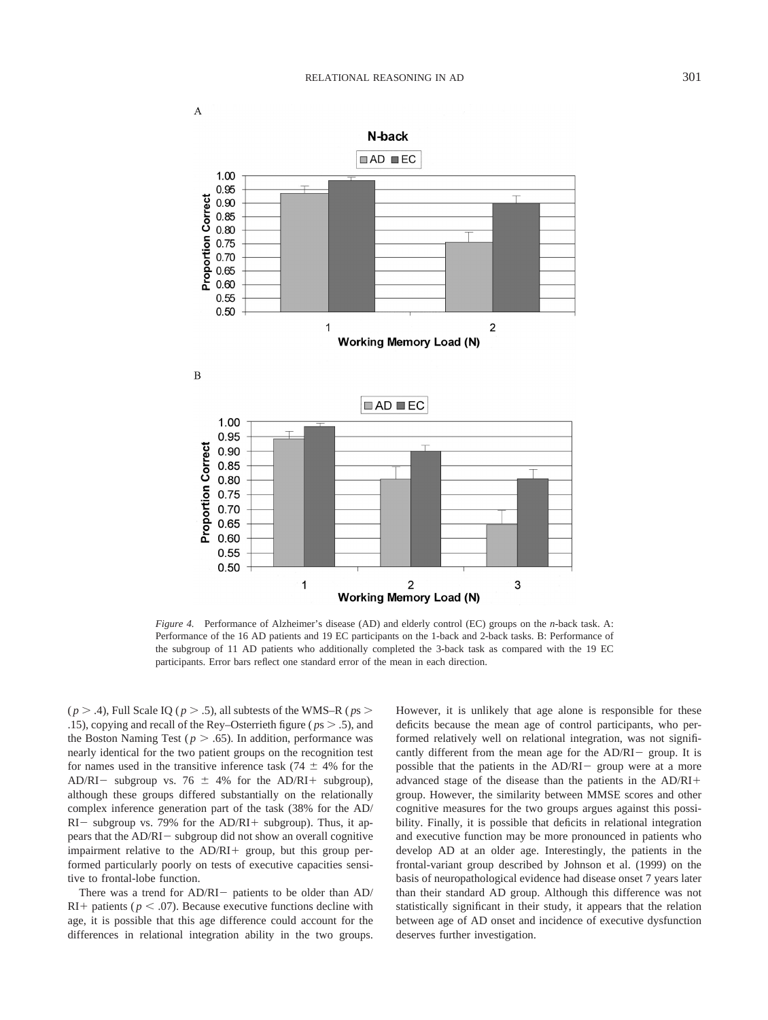

*Figure 4.* Performance of Alzheimer's disease (AD) and elderly control (EC) groups on the *n*-back task. A: Performance of the 16 AD patients and 19 EC participants on the 1-back and 2-back tasks. B: Performance of the subgroup of 11 AD patients who additionally completed the 3-back task as compared with the 19 EC participants. Error bars reflect one standard error of the mean in each direction.

( $p > .4$ ), Full Scale IQ ( $p > .5$ ), all subtests of the WMS–R ( $p_s >$ .15), copying and recall of the Rey–Osterrieth figure ( $p_s$  > .5), and the Boston Naming Test ( $p > .65$ ). In addition, performance was nearly identical for the two patient groups on the recognition test for names used in the transitive inference task  $(74 \pm 4\%)$  for the AD/RI - subgroup vs. 76  $\pm$  4% for the AD/RI + subgroup), although these groups differed substantially on the relationally complex inference generation part of the task (38% for the AD/  $RI-$  subgroup vs. 79% for the AD/RI+ subgroup). Thus, it appears that the AD/RI- subgroup did not show an overall cognitive impairment relative to the  $AD/RI +$  group, but this group performed particularly poorly on tests of executive capacities sensitive to frontal-lobe function.

There was a trend for  $AD/RI-$  patients to be older than  $AD/$ RI + patients ( $p < .07$ ). Because executive functions decline with age, it is possible that this age difference could account for the differences in relational integration ability in the two groups.

However, it is unlikely that age alone is responsible for these deficits because the mean age of control participants, who performed relatively well on relational integration, was not significantly different from the mean age for the  $AD/RI-$  group. It is possible that the patients in the  $AD/RI-$  group were at a more advanced stage of the disease than the patients in the AD/RI group. However, the similarity between MMSE scores and other cognitive measures for the two groups argues against this possibility. Finally, it is possible that deficits in relational integration and executive function may be more pronounced in patients who develop AD at an older age. Interestingly, the patients in the frontal-variant group described by Johnson et al. (1999) on the basis of neuropathological evidence had disease onset 7 years later than their standard AD group. Although this difference was not statistically significant in their study, it appears that the relation between age of AD onset and incidence of executive dysfunction deserves further investigation.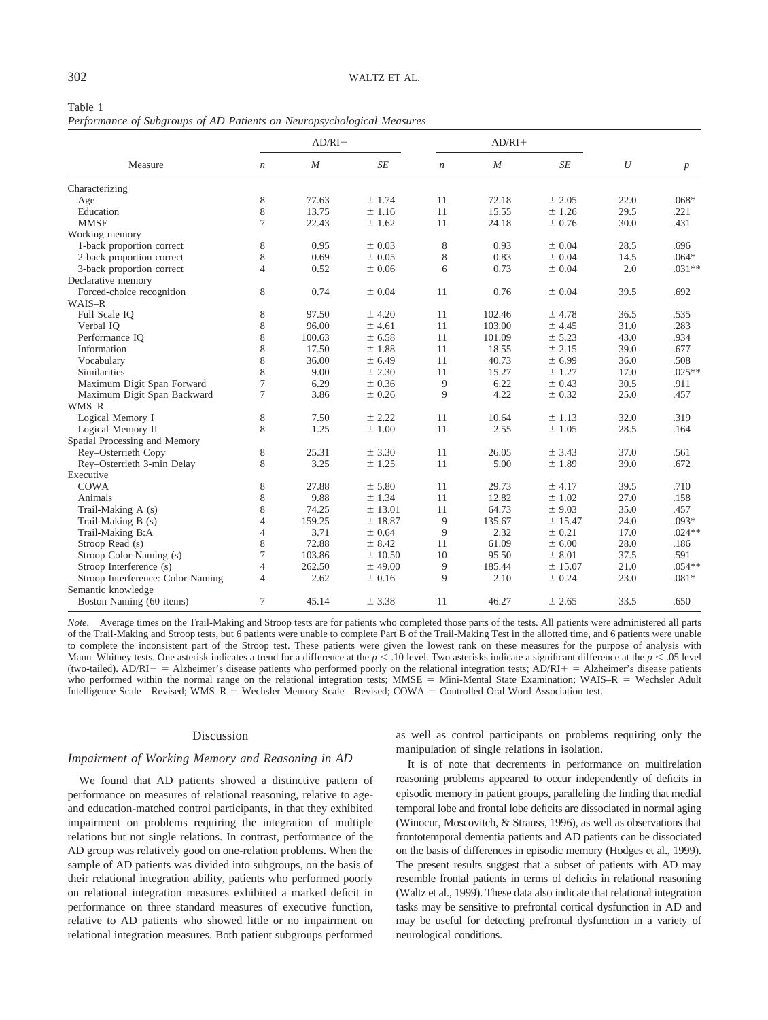| Table 1                                                                |  |  |  |  |
|------------------------------------------------------------------------|--|--|--|--|
| Performance of Subgroups of AD Patients on Neuropsychological Measures |  |  |  |  |

| Measure                           | $AD/RI -$        |                  |           |                  | $AD/RI+$         |            |                  |                  |
|-----------------------------------|------------------|------------------|-----------|------------------|------------------|------------|------------------|------------------|
|                                   | $\boldsymbol{n}$ | $\boldsymbol{M}$ | $\cal SE$ | $\boldsymbol{n}$ | $\boldsymbol{M}$ | $\cal SE$  | $\boldsymbol{U}$ | $\boldsymbol{p}$ |
| Characterizing                    |                  |                  |           |                  |                  |            |                  |                  |
| Age                               | $\,$ 8 $\,$      | 77.63            | ± 1.74    | 11               | 72.18            | ± 2.05     | 22.0             | $.068*$          |
| Education                         | 8                | 13.75            | $±$ 1.16  | 11               | 15.55            | ± 1.26     | 29.5             | .221             |
| <b>MMSE</b>                       | 7                | 22.43            | ± 1.62    | 11               | 24.18            | ± 0.76     | 30.0             | .431             |
| Working memory                    |                  |                  |           |                  |                  |            |                  |                  |
| 1-back proportion correct         | 8                | 0.95             | ± 0.03    | 8                | 0.93             | ± 0.04     | 28.5             | .696             |
| 2-back proportion correct         | 8                | 0.69             | ± 0.05    | 8                | 0.83             | ± 0.04     | 14.5             | $.064*$          |
| 3-back proportion correct         | $\overline{4}$   | 0.52             | ± 0.06    | 6                | 0.73             | ± 0.04     | 2.0              | $.031**$         |
| Declarative memory                |                  |                  |           |                  |                  |            |                  |                  |
| Forced-choice recognition         | 8                | 0.74             | ± 0.04    | 11               | 0.76             | $\pm$ 0.04 | 39.5             | .692             |
| WAIS-R                            |                  |                  |           |                  |                  |            |                  |                  |
| Full Scale IQ                     | 8                | 97.50            | $±$ 4.20  | 11               | 102.46           | ± 4.78     | 36.5             | .535             |
| Verbal IQ                         | 8                | 96.00            | ± 4.61    | 11               | 103.00           | ± 4.45     | 31.0             | .283             |
| Performance IQ                    | 8                | 100.63           | ± 6.58    | 11               | 101.09           | ± 5.23     | 43.0             | .934             |
| Information                       | 8                | 17.50            | ±1.88     | 11               | 18.55            | ± 2.15     | 39.0             | .677             |
| Vocabulary                        | 8                | 36.00            | ± 6.49    | 11               | 40.73            | ± 6.99     | 36.0             | .508             |
| Similarities                      | 8                | 9.00             | ± 2.30    | 11               | 15.27            | ± 1.27     | 17.0             | $.025**$         |
| Maximum Digit Span Forward        | $\tau$           | 6.29             | ± 0.36    | 9                | 6.22             | ± 0.43     | 30.5             | .911             |
| Maximum Digit Span Backward       | $\tau$           | 3.86             | ± 0.26    | 9                | 4.22             | ± 0.32     | 25.0             | .457             |
| WMS-R                             |                  |                  |           |                  |                  |            |                  |                  |
| Logical Memory I                  | 8                | 7.50             | ± 2.22    | 11               | 10.64            | $±$ 1.13   | 32.0             | .319             |
| Logical Memory II                 | 8                | 1.25             | ±1.00     | 11               | 2.55             | ±1.05      | 28.5             | .164             |
| Spatial Processing and Memory     |                  |                  |           |                  |                  |            |                  |                  |
| Rey-Osterrieth Copy               | 8                | 25.31            | ± 3.30    | 11               | 26.05            | ± 3.43     | 37.0             | .561             |
| Rey-Osterrieth 3-min Delay        | 8                | 3.25             | ± 1.25    | 11               | 5.00             | ±1.89      | 39.0             | .672             |
| Executive                         |                  |                  |           |                  |                  |            |                  |                  |
| COWA                              | 8                | 27.88            | ± 5.80    | 11               | 29.73            | ± 4.17     | 39.5             | .710             |
| Animals                           | 8                | 9.88             | ± 1.34    | 11               | 12.82            | ± 1.02     | 27.0             | .158             |
| Trail-Making A (s)                | 8                | 74.25            | ± 13.01   | 11               | 64.73            | ± 9.03     | 35.0             | .457             |
| Trail-Making B (s)                | $\overline{4}$   | 159.25           | $±$ 18.87 | 9                | 135.67           | ± 15.47    | 24.0             | .093*            |
| Trail-Making B:A                  | $\overline{4}$   | 3.71             | ± 0.64    | 9                | 2.32             | ± 0.21     | 17.0             | $.024**$         |
| Stroop Read (s)                   | $\,$ 8 $\,$      | 72.88            | ± 8.42    | 11               | 61.09            | ± 6.00     | 28.0             | .186             |
| Stroop Color-Naming (s)           | $\tau$           | 103.86           | ± 10.50   | 10               | 95.50            | ± 8.01     | 37.5             | .591             |
| Stroop Interference (s)           | $\overline{4}$   | 262.50           | $±$ 49.00 | 9                | 185.44           | ± 15.07    | 21.0             | $.054**$         |
| Stroop Interference: Color-Naming | $\overline{4}$   | 2.62             | $±$ 0.16  | 9                | 2.10             | ± 0.24     | 23.0             | $.081*$          |
| Semantic knowledge                |                  |                  |           |                  |                  |            |                  |                  |
| Boston Naming (60 items)          | $\tau$           | 45.14            | ± 3.38    | 11               | 46.27            | ± 2.65     | 33.5             | .650             |

*Note.* Average times on the Trail-Making and Stroop tests are for patients who completed those parts of the tests. All patients were administered all parts of the Trail-Making and Stroop tests, but 6 patients were unable to complete Part B of the Trail-Making Test in the allotted time, and 6 patients were unable to complete the inconsistent part of the Stroop test. These patients were given the lowest rank on these measures for the purpose of analysis with Mann–Whitney tests. One asterisk indicates a trend for a difference at the  $p < 0.10$  level. Two asterisks indicate a significant difference at the  $p < 0.05$  level (two-tailed).  $AD/RI - = ALz$ heimer's disease patients who performed poorly on the relational integration tests;  $AD/RI + = ALz$ heimer's disease patients who performed within the normal range on the relational integration tests; MMSE = Mini-Mental State Examination; WAIS–R = Wechsler Adult Intelligence Scale—Revised; WMS–R = Wechsler Memory Scale—Revised; COWA = Controlled Oral Word Association test.

## Discussion

## *Impairment of Working Memory and Reasoning in AD*

We found that AD patients showed a distinctive pattern of performance on measures of relational reasoning, relative to ageand education-matched control participants, in that they exhibited impairment on problems requiring the integration of multiple relations but not single relations. In contrast, performance of the AD group was relatively good on one-relation problems. When the sample of AD patients was divided into subgroups, on the basis of their relational integration ability, patients who performed poorly on relational integration measures exhibited a marked deficit in performance on three standard measures of executive function, relative to AD patients who showed little or no impairment on relational integration measures. Both patient subgroups performed as well as control participants on problems requiring only the manipulation of single relations in isolation.

It is of note that decrements in performance on multirelation reasoning problems appeared to occur independently of deficits in episodic memory in patient groups, paralleling the finding that medial temporal lobe and frontal lobe deficits are dissociated in normal aging (Winocur, Moscovitch, & Strauss, 1996), as well as observations that frontotemporal dementia patients and AD patients can be dissociated on the basis of differences in episodic memory (Hodges et al., 1999). The present results suggest that a subset of patients with AD may resemble frontal patients in terms of deficits in relational reasoning (Waltz et al., 1999). These data also indicate that relational integration tasks may be sensitive to prefrontal cortical dysfunction in AD and may be useful for detecting prefrontal dysfunction in a variety of neurological conditions.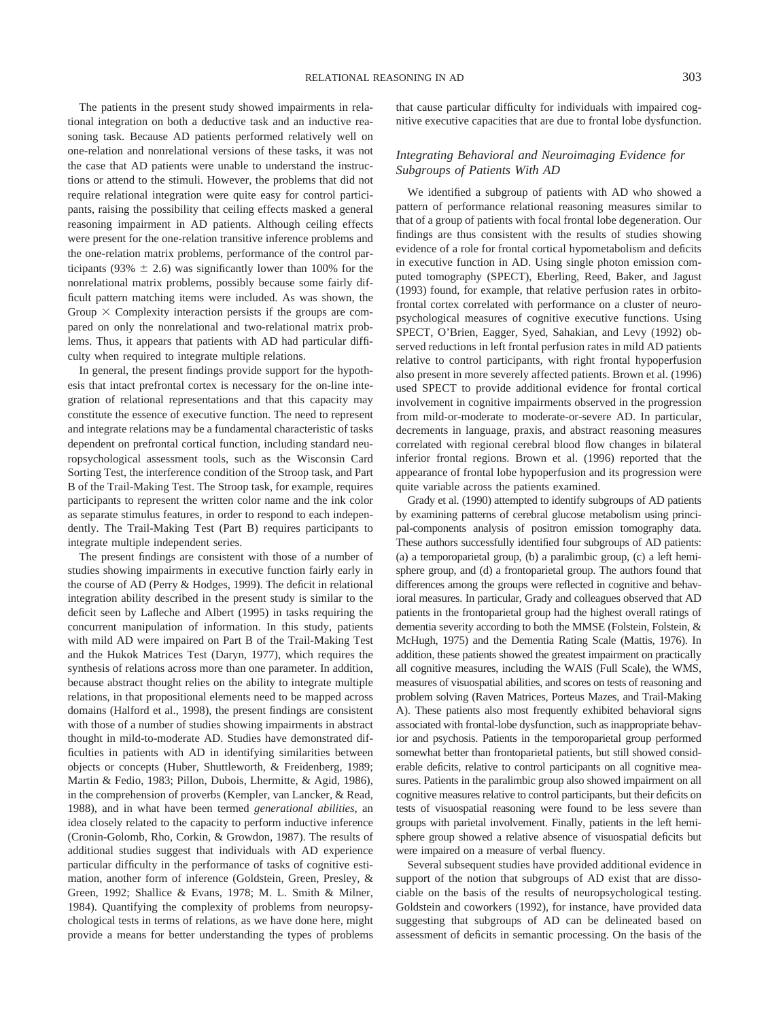The patients in the present study showed impairments in relational integration on both a deductive task and an inductive reasoning task. Because AD patients performed relatively well on one-relation and nonrelational versions of these tasks, it was not the case that AD patients were unable to understand the instructions or attend to the stimuli. However, the problems that did not require relational integration were quite easy for control participants, raising the possibility that ceiling effects masked a general reasoning impairment in AD patients. Although ceiling effects were present for the one-relation transitive inference problems and the one-relation matrix problems, performance of the control participants (93%  $\pm$  2.6) was significantly lower than 100% for the nonrelational matrix problems, possibly because some fairly difficult pattern matching items were included. As was shown, the Group  $\times$  Complexity interaction persists if the groups are compared on only the nonrelational and two-relational matrix problems. Thus, it appears that patients with AD had particular difficulty when required to integrate multiple relations.

In general, the present findings provide support for the hypothesis that intact prefrontal cortex is necessary for the on-line integration of relational representations and that this capacity may constitute the essence of executive function. The need to represent and integrate relations may be a fundamental characteristic of tasks dependent on prefrontal cortical function, including standard neuropsychological assessment tools, such as the Wisconsin Card Sorting Test, the interference condition of the Stroop task, and Part B of the Trail-Making Test. The Stroop task, for example, requires participants to represent the written color name and the ink color as separate stimulus features, in order to respond to each independently. The Trail-Making Test (Part B) requires participants to integrate multiple independent series.

The present findings are consistent with those of a number of studies showing impairments in executive function fairly early in the course of AD (Perry & Hodges, 1999). The deficit in relational integration ability described in the present study is similar to the deficit seen by Lafleche and Albert (1995) in tasks requiring the concurrent manipulation of information. In this study, patients with mild AD were impaired on Part B of the Trail-Making Test and the Hukok Matrices Test (Daryn, 1977), which requires the synthesis of relations across more than one parameter. In addition, because abstract thought relies on the ability to integrate multiple relations, in that propositional elements need to be mapped across domains (Halford et al., 1998), the present findings are consistent with those of a number of studies showing impairments in abstract thought in mild-to-moderate AD. Studies have demonstrated difficulties in patients with AD in identifying similarities between objects or concepts (Huber, Shuttleworth, & Freidenberg, 1989; Martin & Fedio, 1983; Pillon, Dubois, Lhermitte, & Agid, 1986), in the comprehension of proverbs (Kempler, van Lancker, & Read, 1988), and in what have been termed *generational abilities,* an idea closely related to the capacity to perform inductive inference (Cronin-Golomb, Rho, Corkin, & Growdon, 1987). The results of additional studies suggest that individuals with AD experience particular difficulty in the performance of tasks of cognitive estimation, another form of inference (Goldstein, Green, Presley, & Green, 1992; Shallice & Evans, 1978; M. L. Smith & Milner, 1984). Quantifying the complexity of problems from neuropsychological tests in terms of relations, as we have done here, might provide a means for better understanding the types of problems that cause particular difficulty for individuals with impaired cognitive executive capacities that are due to frontal lobe dysfunction.

# *Integrating Behavioral and Neuroimaging Evidence for Subgroups of Patients With AD*

We identified a subgroup of patients with AD who showed a pattern of performance relational reasoning measures similar to that of a group of patients with focal frontal lobe degeneration. Our findings are thus consistent with the results of studies showing evidence of a role for frontal cortical hypometabolism and deficits in executive function in AD. Using single photon emission computed tomography (SPECT), Eberling, Reed, Baker, and Jagust (1993) found, for example, that relative perfusion rates in orbitofrontal cortex correlated with performance on a cluster of neuropsychological measures of cognitive executive functions. Using SPECT, O'Brien, Eagger, Syed, Sahakian, and Levy (1992) observed reductions in left frontal perfusion rates in mild AD patients relative to control participants, with right frontal hypoperfusion also present in more severely affected patients. Brown et al. (1996) used SPECT to provide additional evidence for frontal cortical involvement in cognitive impairments observed in the progression from mild-or-moderate to moderate-or-severe AD. In particular, decrements in language, praxis, and abstract reasoning measures correlated with regional cerebral blood flow changes in bilateral inferior frontal regions. Brown et al. (1996) reported that the appearance of frontal lobe hypoperfusion and its progression were quite variable across the patients examined.

Grady et al. (1990) attempted to identify subgroups of AD patients by examining patterns of cerebral glucose metabolism using principal-components analysis of positron emission tomography data. These authors successfully identified four subgroups of AD patients: (a) a temporoparietal group, (b) a paralimbic group, (c) a left hemisphere group, and (d) a frontoparietal group. The authors found that differences among the groups were reflected in cognitive and behavioral measures. In particular, Grady and colleagues observed that AD patients in the frontoparietal group had the highest overall ratings of dementia severity according to both the MMSE (Folstein, Folstein, & McHugh, 1975) and the Dementia Rating Scale (Mattis, 1976). In addition, these patients showed the greatest impairment on practically all cognitive measures, including the WAIS (Full Scale), the WMS, measures of visuospatial abilities, and scores on tests of reasoning and problem solving (Raven Matrices, Porteus Mazes, and Trail-Making A). These patients also most frequently exhibited behavioral signs associated with frontal-lobe dysfunction, such as inappropriate behavior and psychosis. Patients in the temporoparietal group performed somewhat better than frontoparietal patients, but still showed considerable deficits, relative to control participants on all cognitive measures. Patients in the paralimbic group also showed impairment on all cognitive measures relative to control participants, but their deficits on tests of visuospatial reasoning were found to be less severe than groups with parietal involvement. Finally, patients in the left hemisphere group showed a relative absence of visuospatial deficits but were impaired on a measure of verbal fluency.

Several subsequent studies have provided additional evidence in support of the notion that subgroups of AD exist that are dissociable on the basis of the results of neuropsychological testing. Goldstein and coworkers (1992), for instance, have provided data suggesting that subgroups of AD can be delineated based on assessment of deficits in semantic processing. On the basis of the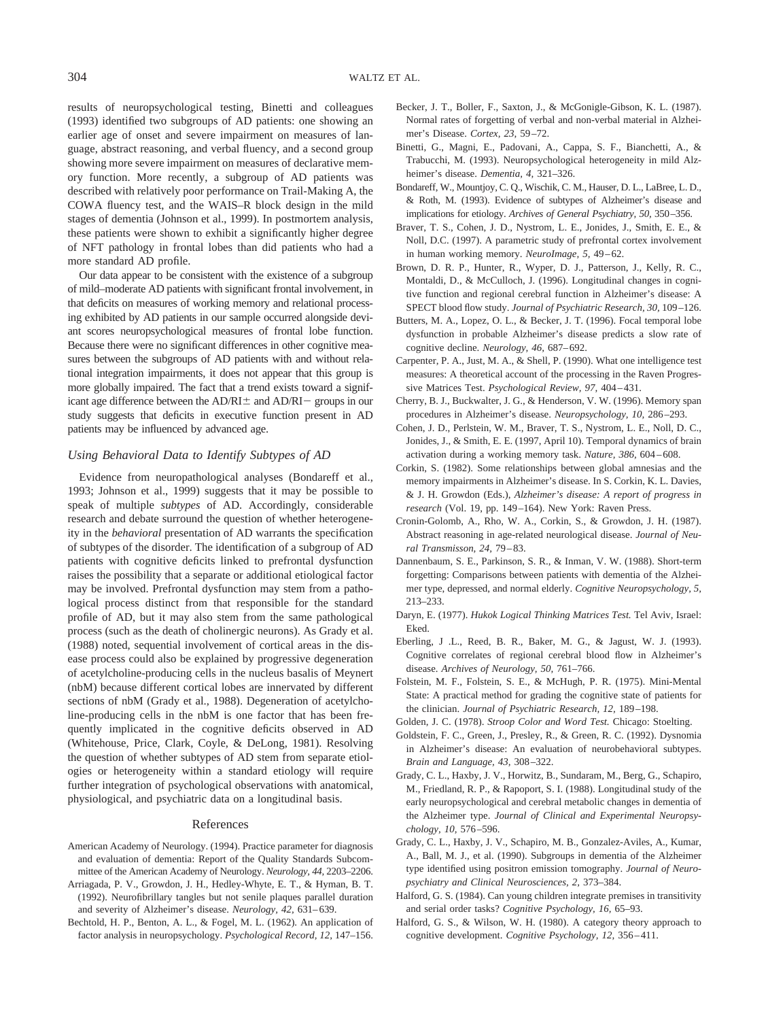results of neuropsychological testing, Binetti and colleagues (1993) identified two subgroups of AD patients: one showing an earlier age of onset and severe impairment on measures of language, abstract reasoning, and verbal fluency, and a second group showing more severe impairment on measures of declarative memory function. More recently, a subgroup of AD patients was described with relatively poor performance on Trail-Making A, the COWA fluency test, and the WAIS–R block design in the mild stages of dementia (Johnson et al., 1999). In postmortem analysis, these patients were shown to exhibit a significantly higher degree of NFT pathology in frontal lobes than did patients who had a more standard AD profile.

Our data appear to be consistent with the existence of a subgroup of mild–moderate AD patients with significant frontal involvement, in that deficits on measures of working memory and relational processing exhibited by AD patients in our sample occurred alongside deviant scores neuropsychological measures of frontal lobe function. Because there were no significant differences in other cognitive measures between the subgroups of AD patients with and without relational integration impairments, it does not appear that this group is more globally impaired. The fact that a trend exists toward a significant age difference between the  $AD/RI$   $\pm$  and  $AD/RI$  groups in our study suggests that deficits in executive function present in AD patients may be influenced by advanced age.

## *Using Behavioral Data to Identify Subtypes of AD*

Evidence from neuropathological analyses (Bondareff et al., 1993; Johnson et al., 1999) suggests that it may be possible to speak of multiple *subtypes* of AD. Accordingly, considerable research and debate surround the question of whether heterogeneity in the *behavioral* presentation of AD warrants the specification of subtypes of the disorder. The identification of a subgroup of AD patients with cognitive deficits linked to prefrontal dysfunction raises the possibility that a separate or additional etiological factor may be involved. Prefrontal dysfunction may stem from a pathological process distinct from that responsible for the standard profile of AD, but it may also stem from the same pathological process (such as the death of cholinergic neurons). As Grady et al. (1988) noted, sequential involvement of cortical areas in the disease process could also be explained by progressive degeneration of acetylcholine-producing cells in the nucleus basalis of Meynert (nbM) because different cortical lobes are innervated by different sections of nbM (Grady et al., 1988). Degeneration of acetylcholine-producing cells in the nbM is one factor that has been frequently implicated in the cognitive deficits observed in AD (Whitehouse, Price, Clark, Coyle, & DeLong, 1981). Resolving the question of whether subtypes of AD stem from separate etiologies or heterogeneity within a standard etiology will require further integration of psychological observations with anatomical, physiological, and psychiatric data on a longitudinal basis.

## References

- American Academy of Neurology. (1994). Practice parameter for diagnosis and evaluation of dementia: Report of the Quality Standards Subcommittee of the American Academy of Neurology. *Neurology, 44,* 2203–2206.
- Arriagada, P. V., Growdon, J. H., Hedley-Whyte, E. T., & Hyman, B. T. (1992). Neurofibrillary tangles but not senile plaques parallel duration and severity of Alzheimer's disease. *Neurology, 42,* 631–639.
- Bechtold, H. P., Benton, A. L., & Fogel, M. L. (1962). An application of factor analysis in neuropsychology. *Psychological Record, 12,* 147–156.
- Becker, J. T., Boller, F., Saxton, J., & McGonigle-Gibson, K. L. (1987). Normal rates of forgetting of verbal and non-verbal material in Alzheimer's Disease. *Cortex, 23,* 59–72.
- Binetti, G., Magni, E., Padovani, A., Cappa, S. F., Bianchetti, A., & Trabucchi, M. (1993). Neuropsychological heterogeneity in mild Alzheimer's disease. *Dementia, 4,* 321–326.
- Bondareff, W., Mountjoy, C. Q., Wischik, C. M., Hauser, D. L., LaBree, L. D., & Roth, M. (1993). Evidence of subtypes of Alzheimer's disease and implications for etiology. *Archives of General Psychiatry, 50,* 350–356.
- Braver, T. S., Cohen, J. D., Nystrom, L. E., Jonides, J., Smith, E. E., & Noll, D.C. (1997). A parametric study of prefrontal cortex involvement in human working memory. *NeuroImage, 5,* 49–62.
- Brown, D. R. P., Hunter, R., Wyper, D. J., Patterson, J., Kelly, R. C., Montaldi, D., & McCulloch, J. (1996). Longitudinal changes in cognitive function and regional cerebral function in Alzheimer's disease: A SPECT blood flow study. *Journal of Psychiatric Research, 30,* 109–126.
- Butters, M. A., Lopez, O. L., & Becker, J. T. (1996). Focal temporal lobe dysfunction in probable Alzheimer's disease predicts a slow rate of cognitive decline. *Neurology, 46,* 687–692.
- Carpenter, P. A., Just, M. A., & Shell, P. (1990). What one intelligence test measures: A theoretical account of the processing in the Raven Progressive Matrices Test. *Psychological Review, 97,* 404–431.
- Cherry, B. J., Buckwalter, J. G., & Henderson, V. W. (1996). Memory span procedures in Alzheimer's disease. *Neuropsychology, 10,* 286–293.
- Cohen, J. D., Perlstein, W. M., Braver, T. S., Nystrom, L. E., Noll, D. C., Jonides, J., & Smith, E. E. (1997, April 10). Temporal dynamics of brain activation during a working memory task. *Nature, 386,* 604–608.
- Corkin, S. (1982). Some relationships between global amnesias and the memory impairments in Alzheimer's disease. In S. Corkin, K. L. Davies, & J. H. Growdon (Eds.), *Alzheimer's disease: A report of progress in research* (Vol. 19, pp. 149–164). New York: Raven Press.
- Cronin-Golomb, A., Rho, W. A., Corkin, S., & Growdon, J. H. (1987). Abstract reasoning in age-related neurological disease. *Journal of Neural Transmisson, 24,* 79–83.
- Dannenbaum, S. E., Parkinson, S. R., & Inman, V. W. (1988). Short-term forgetting: Comparisons between patients with dementia of the Alzheimer type, depressed, and normal elderly. *Cognitive Neuropsychology, 5,* 213–233.
- Daryn, E. (1977). *Hukok Logical Thinking Matrices Test.* Tel Aviv, Israel: Eked.
- Eberling, J .L., Reed, B. R., Baker, M. G., & Jagust, W. J. (1993). Cognitive correlates of regional cerebral blood flow in Alzheimer's disease. *Archives of Neurology, 50,* 761–766.
- Folstein, M. F., Folstein, S. E., & McHugh, P. R. (1975). Mini-Mental State: A practical method for grading the cognitive state of patients for the clinician. *Journal of Psychiatric Research, 12,* 189–198.
- Golden, J. C. (1978). *Stroop Color and Word Test.* Chicago: Stoelting.
- Goldstein, F. C., Green, J., Presley, R., & Green, R. C. (1992). Dysnomia in Alzheimer's disease: An evaluation of neurobehavioral subtypes. *Brain and Language, 43,* 308–322.
- Grady, C. L., Haxby, J. V., Horwitz, B., Sundaram, M., Berg, G., Schapiro, M., Friedland, R. P., & Rapoport, S. I. (1988). Longitudinal study of the early neuropsychological and cerebral metabolic changes in dementia of the Alzheimer type. *Journal of Clinical and Experimental Neuropsychology, 10,* 576–596.
- Grady, C. L., Haxby, J. V., Schapiro, M. B., Gonzalez-Aviles, A., Kumar, A., Ball, M. J., et al. (1990). Subgroups in dementia of the Alzheimer type identified using positron emission tomography. *Journal of Neuropsychiatry and Clinical Neurosciences, 2,* 373–384.
- Halford, G. S. (1984). Can young children integrate premises in transitivity and serial order tasks? *Cognitive Psychology, 16,* 65–93.
- Halford, G. S., & Wilson, W. H. (1980). A category theory approach to cognitive development. *Cognitive Psychology, 12,* 356–411.